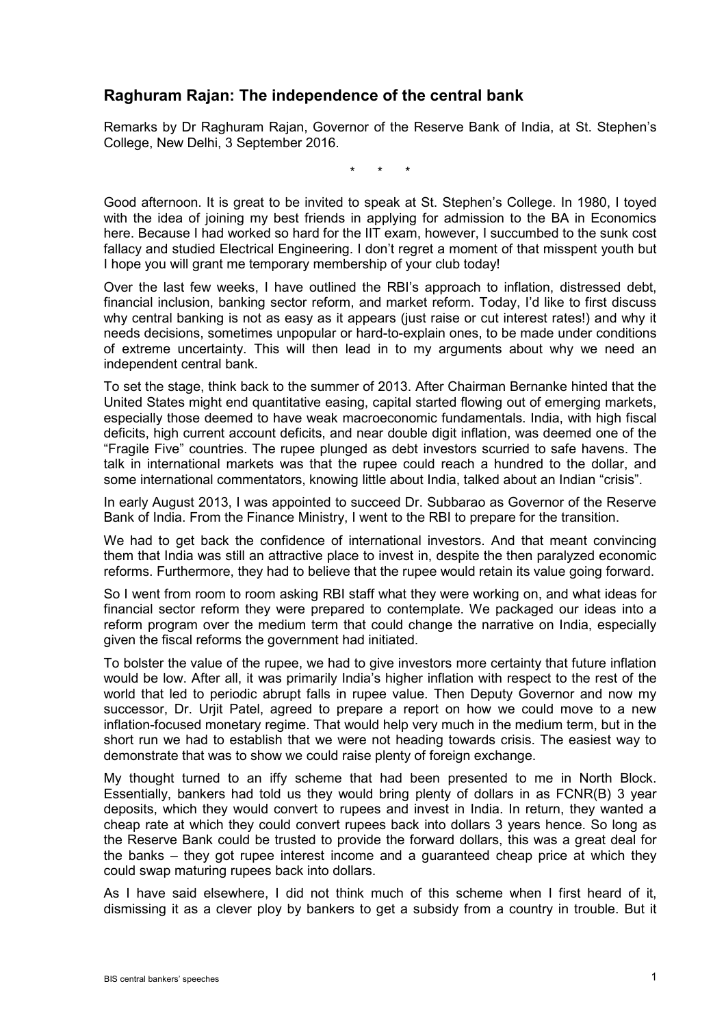# **Raghuram Rajan: The independence of the central bank**

Remarks by Dr Raghuram Rajan, Governor of the Reserve Bank of India, at St. Stephen's College, New Delhi, 3 September 2016.

\* \* \*

Good afternoon. It is great to be invited to speak at St. Stephen's College. In 1980, I toyed with the idea of joining my best friends in applying for admission to the BA in Economics here. Because I had worked so hard for the IIT exam, however, I succumbed to the sunk cost fallacy and studied Electrical Engineering. I don't regret a moment of that misspent youth but I hope you will grant me temporary membership of your club today!

Over the last few weeks, I have outlined the RBI's approach to inflation, distressed debt, financial inclusion, banking sector reform, and market reform. Today, I'd like to first discuss why central banking is not as easy as it appears (just raise or cut interest rates!) and why it needs decisions, sometimes unpopular or hard-to-explain ones, to be made under conditions of extreme uncertainty. This will then lead in to my arguments about why we need an independent central bank.

To set the stage, think back to the summer of 2013. After Chairman Bernanke hinted that the United States might end quantitative easing, capital started flowing out of emerging markets, especially those deemed to have weak macroeconomic fundamentals. India, with high fiscal deficits, high current account deficits, and near double digit inflation, was deemed one of the "Fragile Five" countries. The rupee plunged as debt investors scurried to safe havens. The talk in international markets was that the rupee could reach a hundred to the dollar, and some international commentators, knowing little about India, talked about an Indian "crisis".

In early August 2013, I was appointed to succeed Dr. Subbarao as Governor of the Reserve Bank of India. From the Finance Ministry, I went to the RBI to prepare for the transition.

We had to get back the confidence of international investors. And that meant convincing them that India was still an attractive place to invest in, despite the then paralyzed economic reforms. Furthermore, they had to believe that the rupee would retain its value going forward.

So I went from room to room asking RBI staff what they were working on, and what ideas for financial sector reform they were prepared to contemplate. We packaged our ideas into a reform program over the medium term that could change the narrative on India, especially given the fiscal reforms the government had initiated.

To bolster the value of the rupee, we had to give investors more certainty that future inflation would be low. After all, it was primarily India's higher inflation with respect to the rest of the world that led to periodic abrupt falls in rupee value. Then Deputy Governor and now my successor, Dr. Urjit Patel, agreed to prepare a report on how we could move to a new inflation-focused monetary regime. That would help very much in the medium term, but in the short run we had to establish that we were not heading towards crisis. The easiest way to demonstrate that was to show we could raise plenty of foreign exchange.

My thought turned to an iffy scheme that had been presented to me in North Block. Essentially, bankers had told us they would bring plenty of dollars in as FCNR(B) 3 year deposits, which they would convert to rupees and invest in India. In return, they wanted a cheap rate at which they could convert rupees back into dollars 3 years hence. So long as the Reserve Bank could be trusted to provide the forward dollars, this was a great deal for the banks – they got rupee interest income and a guaranteed cheap price at which they could swap maturing rupees back into dollars.

<span id="page-0-0"></span>As I have said elsewhere, I did not think much of this scheme when I first heard of it, dismissing it as a clever ploy by bankers to get a subsidy from a country in trouble. But it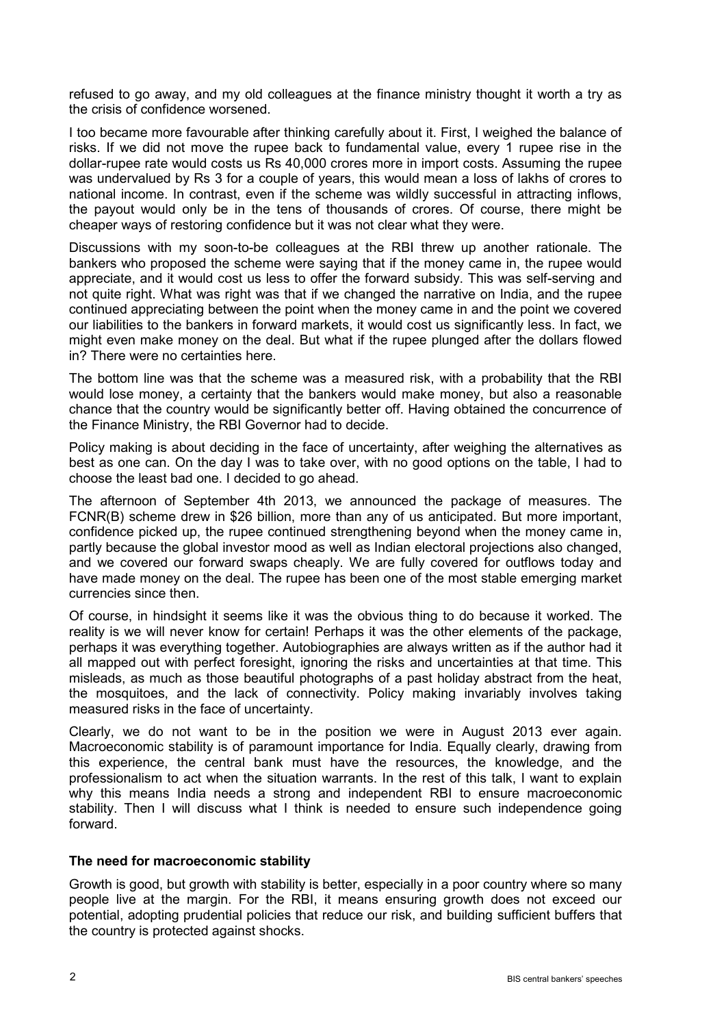refused to go away, and my old colleagues at the finance ministry thought it worth a try as the crisis of confidence worsened.

I too became more favourable after thinking carefully about it. First, I weighed the balance of risks. If we did not move the rupee back to fundamental value, every 1 rupee rise in the dollar-rupee rate would costs us Rs 40,000 crores more in import costs. Assuming the rupee was undervalued by Rs 3 for a couple of years, this would mean a loss of lakhs of crores to national income. In contrast, even if the scheme was wildly successful in attracting inflows, the payout would only be in the tens of thousands of crores. Of course, there might be cheaper ways of restoring confidence but it was not clear what they were.

Discussions with my soon-to-be colleagues at the RBI threw up another rationale. The bankers who proposed the scheme were saying that if the money came in, the rupee would appreciate, and it would cost us less to offer the forward subsidy. This was self-serving and not quite right. What was right was that if we changed the narrative on India, and the rupee continued appreciating between the point when the money came in and the point we covered our liabilities to the bankers in forward markets, it would cost us significantly less. In fact, we might even make money on the deal. But what if the rupee plunged after the dollars flowed in? There were no certainties here.

The bottom line was that the scheme was a measured risk, with a probability that the RBI would lose money, a certainty that the bankers would make money, but also a reasonable chance that the country would be significantly better off. Having obtained the concurrence of the Finance Ministry, the RBI Governor had to decide.

Policy making is about deciding in the face of uncertainty, after weighing the alternatives as best as one can. On the day I was to take over, with no good options on the table, I had to choose the least bad one. I decided to go ahead.

The afternoon of September 4th 2013, we announced the package of measures. The FCNR(B) scheme drew in \$26 billion, more than any of us anticipated. But more important, confidence picked up, the rupee continued strengthening beyond when the money came in, partly because the global investor mood as well as Indian electoral projections also changed, and we covered our forward swaps cheaply. We are fully covered for outflows today and have made money on the deal. The rupee has been one of the most stable emerging market currencies since then.

Of course, in hindsight it seems like it was the obvious thing to do because it worked. The reality is we will never know for certain! Perhaps it was the other elements of the package, perhaps it was everything together. Autobiographies are always written as if the author had it all mapped out with perfect foresight, ignoring the risks and uncertainties at that time. This misleads, as much as those beautiful photographs of a past holiday abstract from the heat, the mosquitoes, and the lack of connectivity. Policy making invariably involves taking measured risks in the face of uncertainty.

Clearly, we do not want to be in the position we were in August 2013 ever again. Macroeconomic stability is of paramount importance for India. Equally clearly, drawing from this experience, the central bank must have the resources, the knowledge, and the professionalism to act when the situation warrants. In the rest of this talk, I want to explain why this means India needs a strong and independent RBI to ensure macroeconomic stability. Then I will discuss what I think is needed to ensure such independence going forward.

## **The need for macroeconomic stability**

Growth is good, but growth with stability is better, especially in a poor country where so many people live at the margin. For the RBI, it means ensuring growth does not exceed our potential, adopting prudential policies that reduce our risk, and building sufficient buffers that the country is protected against shocks.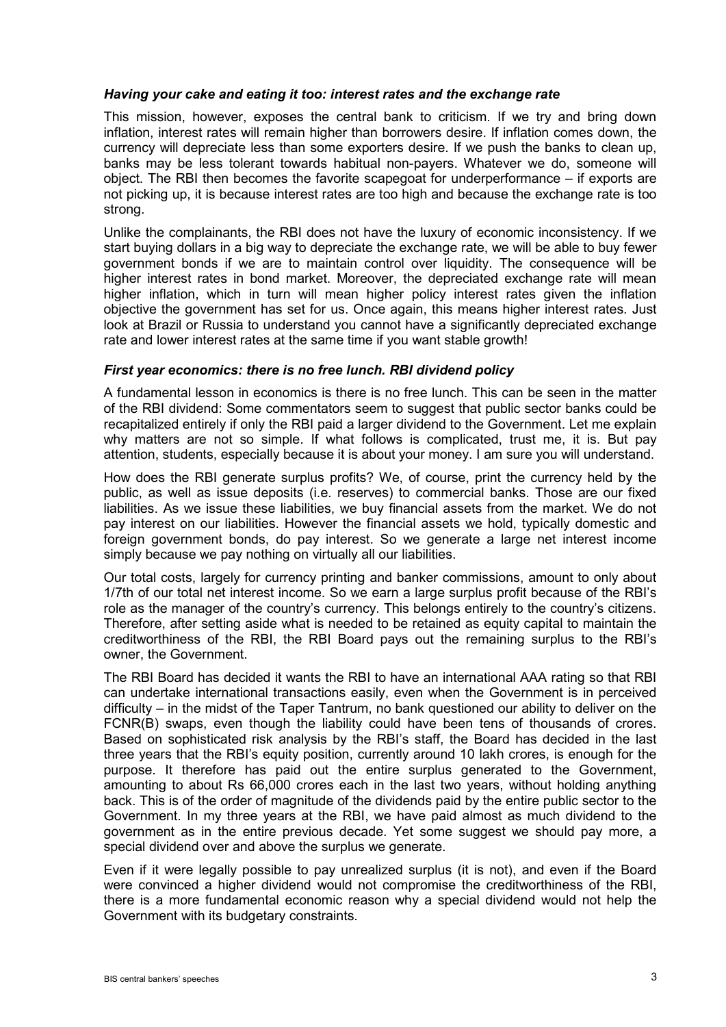### *Having your cake and eating it too: interest rates and the exchange rate*

This mission, however, exposes the central bank to criticism. If we try and bring down inflation, interest rates will remain higher than borrowers desire. If inflation comes down, the currency will depreciate less than some exporters desire. If we push the banks to clean up, banks may be less tolerant towards habitual non-payers. Whatever we do, someone will object. The RBI then becomes the favorite scapegoat for underperformance – if exports are not picking up, it is because interest rates are too high and because the exchange rate is too strong.

Unlike the complainants, the RBI does not have the luxury of economic inconsistency. If we start buying dollars in a big way to depreciate the exchange rate, we will be able to buy fewer government bonds if we are to maintain control over liquidity. The consequence will be higher interest rates in bond market. Moreover, the depreciated exchange rate will mean higher inflation, which in turn will mean higher policy interest rates given the inflation objective the government has set for us. Once again, this means higher interest rates. Just look at Brazil or Russia to understand you cannot have a significantly depreciated exchange rate and lower interest rates at the same time if you want stable growth!

### *First year economics: there is no free lunch. RBI dividend policy*

A fundamental lesson in economics is there is no free lunch. This can be seen in the matter of the RBI dividend: Some commentators seem to suggest that public sector banks could be recapitalized entirely if only the RBI paid a larger dividend to the Government. Let me explain why matters are not so simple. If what follows is complicated, trust me, it is. But pay attention, students, especially because it is about your money. I am sure you will understand.

How does the RBI generate surplus profits? We, of course, print the currency held by the public, as well as issue deposits (i.e. reserves) to commercial banks. Those are our fixed liabilities. As we issue these liabilities, we buy financial assets from the market. We do not pay interest on our liabilities. However the financial assets we hold, typically domestic and foreign government bonds, do pay interest. So we generate a large net interest income simply because we pay nothing on virtually all our liabilities.

Our total costs, largely for currency printing and banker commissions, amount to only about 1/7th of our total net interest income. So we earn a large surplus profit because of the RBI's role as the manager of the country's currency. This belongs entirely to the country's citizens. Therefore, after setting aside what is needed to be retained as equity capital to maintain the creditworthiness of the RBI, the RBI Board pays out the remaining surplus to the RBI's owner, the Government.

The RBI Board has decided it wants the RBI to have an international AAA rating so that RBI can undertake international transactions easily, even when the Government is in perceived difficulty – in the midst of the Taper Tantrum, no bank questioned our ability to deliver on the FCNR(B) swaps, even though the liability could have been tens of thousands of crores. Based on sophisticated risk analysis by the RBI's staff, the Board has decided in the last three years that the RBI's equity position, currently around 10 lakh crores, is enough for the purpose. It therefore has paid out the entire surplus generated to the Government, amounting to about Rs 66,000 crores each in the last two years, without holding anything back. This is of the order of magnitude of the dividends paid by the entire public sector to the Government. In my three years at the RBI, we have paid almost as much dividend to the government as in the entire previous decade. Yet some suggest we should pay more, a special dividend over and above the surplus we generate.

Even if it were legally possible to pay unrealized surplus (it is not), and even if the Board were convinced a higher dividend would not compromise the creditworthiness of the RBI, there is a more fundamental economic reason why a special dividend would not help the Government with its budgetary constraints.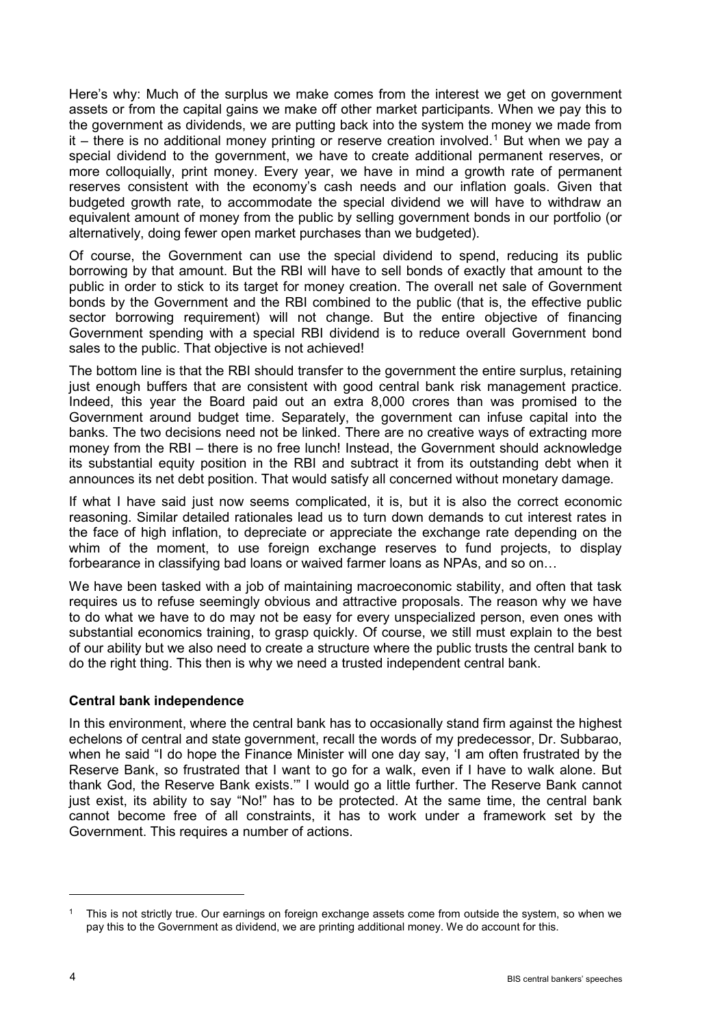Here's why: Much of the surplus we make comes from the interest we get on government assets or from the capital gains we make off other market participants. When we pay this to the government as dividends, we are putting back into the system the money we made from it – there is no additional money printing or reserve creation involved.<sup>[1](#page-0-0)</sup> But when we pay a special dividend to the government, we have to create additional permanent reserves, or more colloquially, print money. Every year, we have in mind a growth rate of permanent reserves consistent with the economy's cash needs and our inflation goals. Given that budgeted growth rate, to accommodate the special dividend we will have to withdraw an equivalent amount of money from the public by selling government bonds in our portfolio (or alternatively, doing fewer open market purchases than we budgeted).

Of course, the Government can use the special dividend to spend, reducing its public borrowing by that amount. But the RBI will have to sell bonds of exactly that amount to the public in order to stick to its target for money creation. The overall net sale of Government bonds by the Government and the RBI combined to the public (that is, the effective public sector borrowing requirement) will not change. But the entire objective of financing Government spending with a special RBI dividend is to reduce overall Government bond sales to the public. That objective is not achieved!

The bottom line is that the RBI should transfer to the government the entire surplus, retaining just enough buffers that are consistent with good central bank risk management practice. Indeed, this year the Board paid out an extra 8,000 crores than was promised to the Government around budget time. Separately, the government can infuse capital into the banks. The two decisions need not be linked. There are no creative ways of extracting more money from the RBI – there is no free lunch! Instead, the Government should acknowledge its substantial equity position in the RBI and subtract it from its outstanding debt when it announces its net debt position. That would satisfy all concerned without monetary damage.

If what I have said just now seems complicated, it is, but it is also the correct economic reasoning. Similar detailed rationales lead us to turn down demands to cut interest rates in the face of high inflation, to depreciate or appreciate the exchange rate depending on the whim of the moment, to use foreign exchange reserves to fund projects, to display forbearance in classifying bad loans or waived farmer loans as NPAs, and so on…

We have been tasked with a job of maintaining macroeconomic stability, and often that task requires us to refuse seemingly obvious and attractive proposals. The reason why we have to do what we have to do may not be easy for every unspecialized person, even ones with substantial economics training, to grasp quickly. Of course, we still must explain to the best of our ability but we also need to create a structure where the public trusts the central bank to do the right thing. This then is why we need a trusted independent central bank.

## **Central bank independence**

In this environment, where the central bank has to occasionally stand firm against the highest echelons of central and state government, recall the words of my predecessor, Dr. Subbarao, when he said "I do hope the Finance Minister will one day say, 'I am often frustrated by the Reserve Bank, so frustrated that I want to go for a walk, even if I have to walk alone. But thank God, the Reserve Bank exists.'" I would go a little further. The Reserve Bank cannot just exist, its ability to say "No!" has to be protected. At the same time, the central bank cannot become free of all constraints, it has to work under a framework set by the Government. This requires a number of actions.

-

This is not strictly true. Our earnings on foreign exchange assets come from outside the system, so when we pay this to the Government as dividend, we are printing additional money. We do account for this.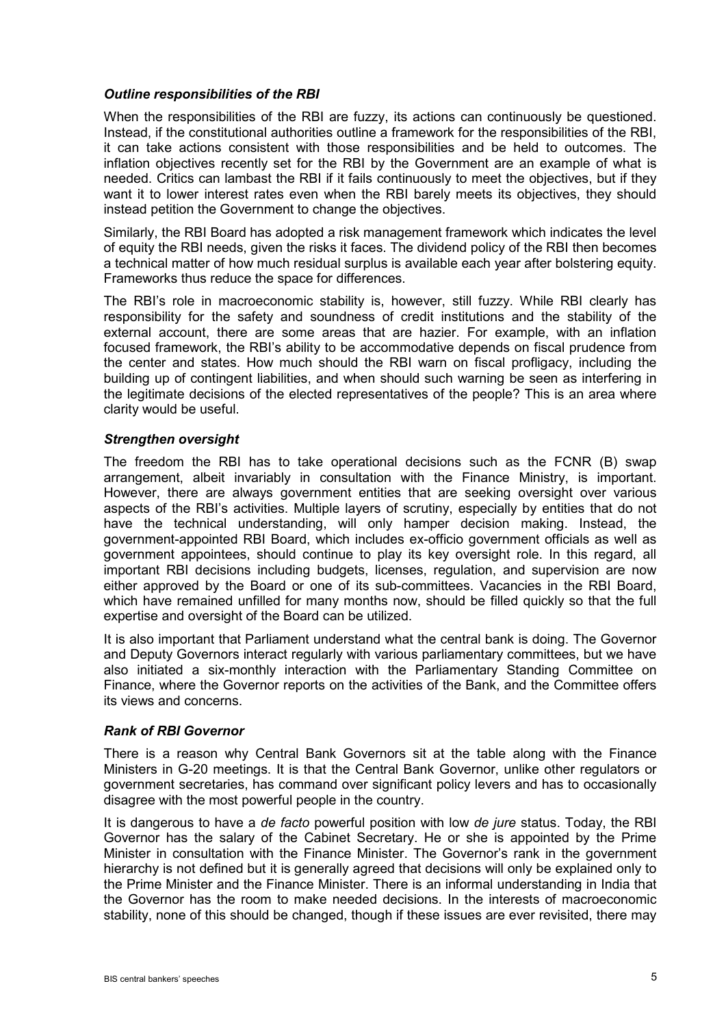### *Outline responsibilities of the RBI*

When the responsibilities of the RBI are fuzzy, its actions can continuously be questioned. Instead, if the constitutional authorities outline a framework for the responsibilities of the RBI, it can take actions consistent with those responsibilities and be held to outcomes. The inflation objectives recently set for the RBI by the Government are an example of what is needed. Critics can lambast the RBI if it fails continuously to meet the objectives, but if they want it to lower interest rates even when the RBI barely meets its objectives, they should instead petition the Government to change the objectives.

Similarly, the RBI Board has adopted a risk management framework which indicates the level of equity the RBI needs, given the risks it faces. The dividend policy of the RBI then becomes a technical matter of how much residual surplus is available each year after bolstering equity. Frameworks thus reduce the space for differences.

The RBI's role in macroeconomic stability is, however, still fuzzy. While RBI clearly has responsibility for the safety and soundness of credit institutions and the stability of the external account, there are some areas that are hazier. For example, with an inflation focused framework, the RBI's ability to be accommodative depends on fiscal prudence from the center and states. How much should the RBI warn on fiscal profligacy, including the building up of contingent liabilities, and when should such warning be seen as interfering in the legitimate decisions of the elected representatives of the people? This is an area where clarity would be useful.

## *Strengthen oversight*

The freedom the RBI has to take operational decisions such as the FCNR (B) swap arrangement, albeit invariably in consultation with the Finance Ministry, is important. However, there are always government entities that are seeking oversight over various aspects of the RBI's activities. Multiple layers of scrutiny, especially by entities that do not have the technical understanding, will only hamper decision making. Instead, the government-appointed RBI Board, which includes ex-officio government officials as well as government appointees, should continue to play its key oversight role. In this regard, all important RBI decisions including budgets, licenses, regulation, and supervision are now either approved by the Board or one of its sub-committees. Vacancies in the RBI Board, which have remained unfilled for many months now, should be filled quickly so that the full expertise and oversight of the Board can be utilized.

It is also important that Parliament understand what the central bank is doing. The Governor and Deputy Governors interact regularly with various parliamentary committees, but we have also initiated a six-monthly interaction with the Parliamentary Standing Committee on Finance, where the Governor reports on the activities of the Bank, and the Committee offers its views and concerns.

## *Rank of RBI Governor*

There is a reason why Central Bank Governors sit at the table along with the Finance Ministers in G-20 meetings. It is that the Central Bank Governor, unlike other regulators or government secretaries, has command over significant policy levers and has to occasionally disagree with the most powerful people in the country.

It is dangerous to have a *de facto* powerful position with low *de jure* status. Today, the RBI Governor has the salary of the Cabinet Secretary. He or she is appointed by the Prime Minister in consultation with the Finance Minister. The Governor's rank in the government hierarchy is not defined but it is generally agreed that decisions will only be explained only to the Prime Minister and the Finance Minister. There is an informal understanding in India that the Governor has the room to make needed decisions. In the interests of macroeconomic stability, none of this should be changed, though if these issues are ever revisited, there may